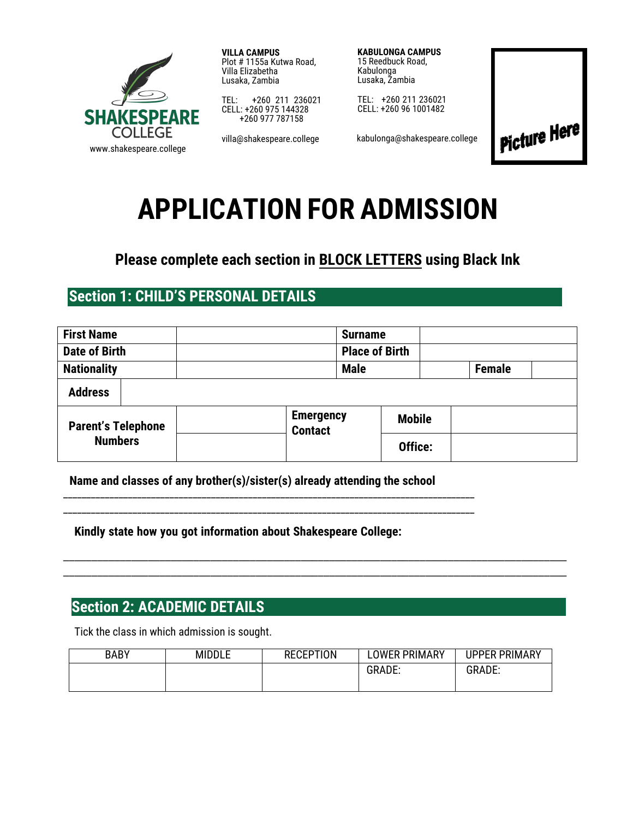

**VILLA CAMPUS** Plot # 1155a Kutwa Road, Villa Elizabetha Lusaka, Zambia

TEL: +260 211 236021 CELL: +260 975 144328 +260 977 787158

villa@shakespeare.college

**KABULONGA CAMPUS**  15 Reedbuck Road, Kabulonga Lusaka, Zambia

TEL: +260 211 236021 CELL: +260 96 1001482

kabulonga@shakespeare.college



# **APPLICATION FOR ADMISSION**

## **Please complete each section in BLOCK LETTERS using Black Ink**

## **Section 1: CHILD'S PERSONAL DETAILS**

| <b>First Name</b>                           |  | <b>Surname</b> |                                    |                       |               |               |  |
|---------------------------------------------|--|----------------|------------------------------------|-----------------------|---------------|---------------|--|
| <b>Date of Birth</b>                        |  |                |                                    | <b>Place of Birth</b> |               |               |  |
| <b>Nationality</b>                          |  |                |                                    | <b>Male</b>           |               | <b>Female</b> |  |
| <b>Address</b>                              |  |                |                                    |                       |               |               |  |
| <b>Parent's Telephone</b><br><b>Numbers</b> |  |                | <b>Emergency</b><br><b>Contact</b> |                       | <b>Mobile</b> |               |  |
|                                             |  |                |                                    |                       | Office:       |               |  |

**Name and classes of any brother(s)/sister(s) already attending the school** 

\_\_\_\_\_\_\_\_\_\_\_\_\_\_\_\_\_\_\_\_\_\_\_\_\_\_\_\_\_\_\_\_\_\_\_\_\_\_\_\_\_\_\_\_\_\_\_\_\_\_\_\_\_\_\_\_\_\_\_\_\_\_\_\_\_\_\_\_\_\_\_\_\_\_\_\_\_\_\_\_\_\_\_\_\_\_\_\_\_ \_\_\_\_\_\_\_\_\_\_\_\_\_\_\_\_\_\_\_\_\_\_\_\_\_\_\_\_\_\_\_\_\_\_\_\_\_\_\_\_\_\_\_\_\_\_\_\_\_\_\_\_\_\_\_\_\_\_\_\_\_\_\_\_\_\_\_\_\_\_\_\_\_\_\_\_\_\_\_\_\_\_\_\_\_\_\_\_\_

**Kindly state how you got information about Shakespeare College:** 

### **Section 2: ACADEMIC DETAILS**

Tick the class in which admission is sought.

| <b>BABY</b> | <b>MIDDLE</b> | <b>RECEPTION</b> | OWER PRIMARY. | <b>UPPER PRIMARY</b> |
|-------------|---------------|------------------|---------------|----------------------|
|             |               |                  | <b>GRADE:</b> | <b>GRADE:</b>        |
|             |               |                  |               |                      |

\_\_\_\_\_\_\_\_\_\_\_\_\_\_\_\_\_\_\_\_\_\_\_\_\_\_\_\_\_\_\_\_\_\_\_\_\_\_\_\_\_\_\_\_\_\_\_\_\_\_\_\_\_\_\_\_\_\_\_\_\_\_\_\_\_\_\_\_\_\_\_\_\_\_\_\_\_\_\_\_\_\_\_\_\_\_\_\_\_ \_\_\_\_\_\_\_\_\_\_\_\_\_\_\_\_\_\_\_\_\_\_\_\_\_\_\_\_\_\_\_\_\_\_\_\_\_\_\_\_\_\_\_\_\_\_\_\_\_\_\_\_\_\_\_\_\_\_\_\_\_\_\_\_\_\_\_\_\_\_\_\_\_\_\_\_\_\_\_\_\_\_\_\_\_\_\_\_\_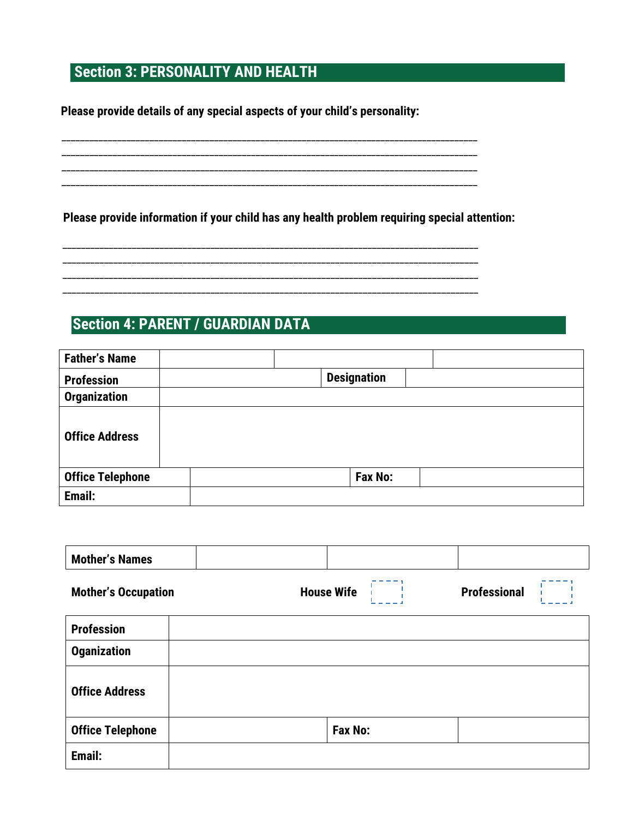# **Section 3: PERSONALITY AND HEALTH**

**Please provide details of any special aspects of your child's personality:** 

**Please provide information if your child has any health problem requiring special attention:** 

\_\_\_\_\_\_\_\_\_\_\_\_\_\_\_\_\_\_\_\_\_\_\_\_\_\_\_\_\_\_\_\_\_\_\_\_\_\_\_\_\_\_\_\_\_\_\_\_\_\_\_\_\_\_\_\_\_\_\_\_\_\_\_\_\_\_\_\_\_\_\_\_\_\_\_\_\_\_\_\_\_\_\_\_\_\_\_\_\_\_ \_\_\_\_\_\_\_\_\_\_\_\_\_\_\_\_\_\_\_\_\_\_\_\_\_\_\_\_\_\_\_\_\_\_\_\_\_\_\_\_\_\_\_\_\_\_\_\_\_\_\_\_\_\_\_\_\_\_\_\_\_\_\_\_\_\_\_\_\_\_\_\_\_\_\_\_\_\_\_\_\_\_\_\_\_\_\_\_\_\_ \_\_\_\_\_\_\_\_\_\_\_\_\_\_\_\_\_\_\_\_\_\_\_\_\_\_\_\_\_\_\_\_\_\_\_\_\_\_\_\_\_\_\_\_\_\_\_\_\_\_\_\_\_\_\_\_\_\_\_\_\_\_\_\_\_\_\_\_\_\_\_\_\_\_\_\_\_\_\_\_\_\_\_\_\_\_\_\_\_\_

\_\_\_\_\_\_\_\_\_\_\_\_\_\_\_\_\_\_\_\_\_\_\_\_\_\_\_\_\_\_\_\_\_\_\_\_\_\_\_\_\_\_\_\_\_\_\_\_\_\_\_\_\_\_\_\_\_\_\_\_\_\_\_\_\_\_\_\_\_\_\_\_\_\_\_\_\_\_\_\_\_\_\_\_\_\_\_\_\_\_ \_\_\_\_\_\_\_\_\_\_\_\_\_\_\_\_\_\_\_\_\_\_\_\_\_\_\_\_\_\_\_\_\_\_\_\_\_\_\_\_\_\_\_\_\_\_\_\_\_\_\_\_\_\_\_\_\_\_\_\_\_\_\_\_\_\_\_\_\_\_\_\_\_\_\_\_\_\_\_\_\_\_\_\_\_\_\_\_\_\_ \_\_\_\_\_\_\_\_\_\_\_\_\_\_\_\_\_\_\_\_\_\_\_\_\_\_\_\_\_\_\_\_\_\_\_\_\_\_\_\_\_\_\_\_\_\_\_\_\_\_\_\_\_\_\_\_\_\_\_\_\_\_\_\_\_\_\_\_\_\_\_\_\_\_\_\_\_\_\_\_\_\_\_\_\_\_\_\_\_\_ \_\_\_\_\_\_\_\_\_\_\_\_\_\_\_\_\_\_\_\_\_\_\_\_\_\_\_\_\_\_\_\_\_\_\_\_\_\_\_\_\_\_\_\_\_\_\_\_\_\_\_\_\_\_\_\_\_\_\_\_\_\_\_\_\_\_\_\_\_\_\_\_\_\_\_\_\_\_\_\_\_\_\_\_\_\_\_\_\_\_

# **Section 4: PARENT / GUARDIAN DATA**

| <b>Father's Name</b>    |                    |
|-------------------------|--------------------|
| <b>Profession</b>       | <b>Designation</b> |
| <b>Organization</b>     |                    |
| <b>Office Address</b>   |                    |
| <b>Office Telephone</b> | <b>Fax No:</b>     |
| Email:                  |                    |

| <b>Mother's Names</b>      |  |                   |         |                     |
|----------------------------|--|-------------------|---------|---------------------|
| <b>Mother's Occupation</b> |  | <b>House Wife</b> |         | <b>Professional</b> |
| <b>Profession</b>          |  |                   |         |                     |
| <b>Oganization</b>         |  |                   |         |                     |
| <b>Office Address</b>      |  |                   |         |                     |
| <b>Office Telephone</b>    |  |                   | Fax No: |                     |
| Email:                     |  |                   |         |                     |